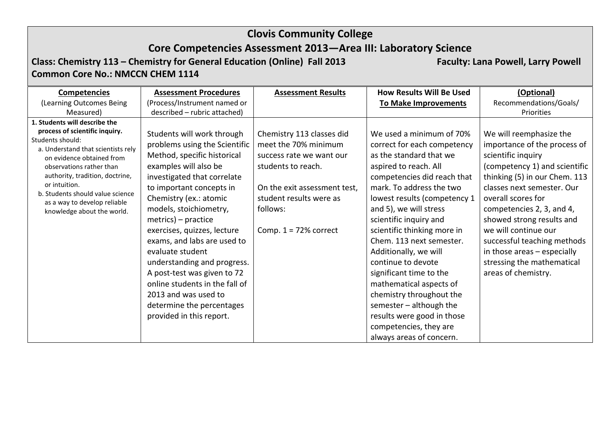## **Core Competencies Assessment 2013—Area III: Laboratory Science**

**Class: Chemistry 113 – Chemistry for General Education (Online) Fall 2013 Faculty: Lana Powell, Larry Powell Common Core No.: NMCCN CHEM 1114**

| <b>Competencies</b>                                                                                                                                                                                                                                                                                                                      | <b>Assessment Procedures</b>                                                                                                                                                                                                                                                                                                                                                                                                                                                                                                 | <b>Assessment Results</b>                                                                                                                                                                             | <b>How Results Will Be Used</b>                                                                                                                                                                                                                                                                                                                                                                                                                                                                                                                                         | (Optional)                                                                                                                                                                                                                                                                                                                                                                                               |
|------------------------------------------------------------------------------------------------------------------------------------------------------------------------------------------------------------------------------------------------------------------------------------------------------------------------------------------|------------------------------------------------------------------------------------------------------------------------------------------------------------------------------------------------------------------------------------------------------------------------------------------------------------------------------------------------------------------------------------------------------------------------------------------------------------------------------------------------------------------------------|-------------------------------------------------------------------------------------------------------------------------------------------------------------------------------------------------------|-------------------------------------------------------------------------------------------------------------------------------------------------------------------------------------------------------------------------------------------------------------------------------------------------------------------------------------------------------------------------------------------------------------------------------------------------------------------------------------------------------------------------------------------------------------------------|----------------------------------------------------------------------------------------------------------------------------------------------------------------------------------------------------------------------------------------------------------------------------------------------------------------------------------------------------------------------------------------------------------|
| (Learning Outcomes Being                                                                                                                                                                                                                                                                                                                 | (Process/Instrument named or                                                                                                                                                                                                                                                                                                                                                                                                                                                                                                 |                                                                                                                                                                                                       | <b>To Make Improvements</b>                                                                                                                                                                                                                                                                                                                                                                                                                                                                                                                                             | Recommendations/Goals/                                                                                                                                                                                                                                                                                                                                                                                   |
| Measured)                                                                                                                                                                                                                                                                                                                                | described - rubric attached)                                                                                                                                                                                                                                                                                                                                                                                                                                                                                                 |                                                                                                                                                                                                       |                                                                                                                                                                                                                                                                                                                                                                                                                                                                                                                                                                         | Priorities                                                                                                                                                                                                                                                                                                                                                                                               |
| 1. Students will describe the<br>process of scientific inquiry.<br>Students should:<br>a. Understand that scientists rely<br>on evidence obtained from<br>observations rather than<br>authority, tradition, doctrine,<br>or intuition.<br>b. Students should value science<br>as a way to develop reliable<br>knowledge about the world. | Students will work through<br>problems using the Scientific<br>Method, specific historical<br>examples will also be<br>investigated that correlate<br>to important concepts in<br>Chemistry (ex.: atomic<br>models, stoichiometry,<br>metrics) – practice<br>exercises, quizzes, lecture<br>exams, and labs are used to<br>evaluate student<br>understanding and progress.<br>A post-test was given to 72<br>online students in the fall of<br>2013 and was used to<br>determine the percentages<br>provided in this report. | Chemistry 113 classes did<br>meet the 70% minimum<br>success rate we want our<br>students to reach.<br>On the exit assessment test,<br>student results were as<br>follows:<br>Comp. $1 = 72%$ correct | We used a minimum of 70%<br>correct for each competency<br>as the standard that we<br>aspired to reach. All<br>competencies did reach that<br>mark. To address the two<br>lowest results (competency 1<br>and 5), we will stress<br>scientific inquiry and<br>scientific thinking more in<br>Chem. 113 next semester.<br>Additionally, we will<br>continue to devote<br>significant time to the<br>mathematical aspects of<br>chemistry throughout the<br>semester $-$ although the<br>results were good in those<br>competencies, they are<br>always areas of concern. | We will reemphasize the<br>importance of the process of<br>scientific inquiry<br>(competency 1) and scientific<br>thinking (5) in our Chem. 113<br>classes next semester. Our<br>overall scores for<br>competencies 2, 3, and 4,<br>showed strong results and<br>we will continue our<br>successful teaching methods<br>in those areas - especially<br>stressing the mathematical<br>areas of chemistry. |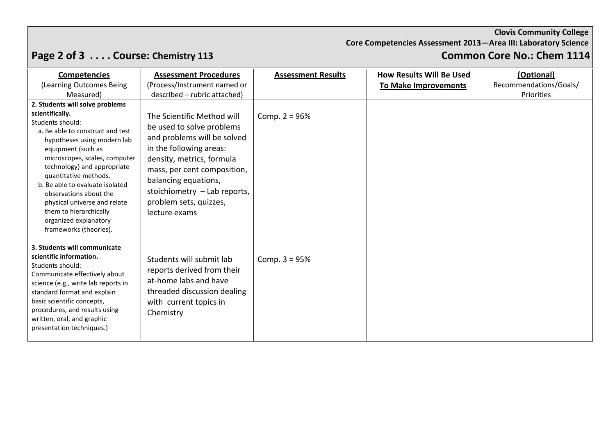**Core Competencies Assessment 2013—Area III: Laboratory Science**

# **Page 2 of 3 .... Course: Chemistry 113**

| <b>Competencies</b>                                                                                                                                                                                                                                                                                                                                                                                                                | <b>Assessment Procedures</b>                                                                                                                                                                                                                                                     | <b>Assessment Results</b> | <b>How Results Will Be Used</b> | (Optional)             |
|------------------------------------------------------------------------------------------------------------------------------------------------------------------------------------------------------------------------------------------------------------------------------------------------------------------------------------------------------------------------------------------------------------------------------------|----------------------------------------------------------------------------------------------------------------------------------------------------------------------------------------------------------------------------------------------------------------------------------|---------------------------|---------------------------------|------------------------|
| (Learning Outcomes Being                                                                                                                                                                                                                                                                                                                                                                                                           | (Process/Instrument named or                                                                                                                                                                                                                                                     |                           | To Make Improvements            | Recommendations/Goals/ |
| Measured)                                                                                                                                                                                                                                                                                                                                                                                                                          | described - rubric attached)                                                                                                                                                                                                                                                     |                           |                                 | Priorities             |
| 2. Students will solve problems<br>scientifically.<br>Students should:<br>a. Be able to construct and test<br>hypotheses using modern lab<br>equipment (such as<br>microscopes, scales, computer<br>technology) and appropriate<br>quantitative methods.<br>b. Be able to evaluate isolated<br>observations about the<br>physical universe and relate<br>them to hierarchically<br>organized explanatory<br>frameworks (theories). | The Scientific Method will<br>be used to solve problems<br>and problems will be solved<br>in the following areas:<br>density, metrics, formula<br>mass, per cent composition,<br>balancing equations,<br>stoichiometry - Lab reports,<br>problem sets, quizzes,<br>lecture exams | Comp. $2 = 96%$           |                                 |                        |
| 3. Students will communicate<br>scientific information.<br>Students should:<br>Communicate effectively about<br>science (e.g., write lab reports in<br>standard format and explain<br>basic scientific concepts,<br>procedures, and results using<br>written, oral, and graphic<br>presentation techniques.)                                                                                                                       | Students will submit lab<br>reports derived from their<br>at-home labs and have<br>threaded discussion dealing<br>with current topics in<br>Chemistry                                                                                                                            | Comp. $3 = 95%$           |                                 |                        |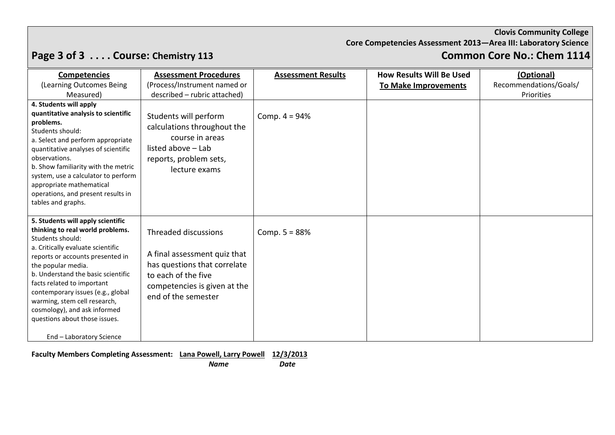**Core Competencies Assessment 2013—Area III: Laboratory Science**

# **Page 3 of 3 . . . . Course: Chemistry 113 Common Core No.: Chem 1114**

| <b>Competencies</b>                                                                                                                                                                                                                                                                                                                                                                                                            | <b>Assessment Procedures</b>                                                                                                                                       | <b>Assessment Results</b> | <b>How Results Will Be Used</b> | (Optional)             |
|--------------------------------------------------------------------------------------------------------------------------------------------------------------------------------------------------------------------------------------------------------------------------------------------------------------------------------------------------------------------------------------------------------------------------------|--------------------------------------------------------------------------------------------------------------------------------------------------------------------|---------------------------|---------------------------------|------------------------|
| (Learning Outcomes Being                                                                                                                                                                                                                                                                                                                                                                                                       | (Process/Instrument named or                                                                                                                                       |                           | <b>To Make Improvements</b>     | Recommendations/Goals/ |
| Measured)                                                                                                                                                                                                                                                                                                                                                                                                                      | described - rubric attached)                                                                                                                                       |                           |                                 | Priorities             |
| 4. Students will apply<br>quantitative analysis to scientific<br>problems.<br>Students should:<br>a. Select and perform appropriate<br>quantitative analyses of scientific<br>observations.<br>b. Show familiarity with the metric<br>system, use a calculator to perform<br>appropriate mathematical<br>operations, and present results in<br>tables and graphs.                                                              | Students will perform<br>calculations throughout the<br>course in areas<br>listed above - Lab<br>reports, problem sets,<br>lecture exams                           | Comp. $4 = 94%$           |                                 |                        |
| 5. Students will apply scientific<br>thinking to real world problems.<br>Students should:<br>a. Critically evaluate scientific<br>reports or accounts presented in<br>the popular media.<br>b. Understand the basic scientific<br>facts related to important<br>contemporary issues (e.g., global<br>warming, stem cell research,<br>cosmology), and ask informed<br>questions about those issues.<br>End - Laboratory Science | Threaded discussions<br>A final assessment quiz that<br>has questions that correlate<br>to each of the five<br>competencies is given at the<br>end of the semester | Comp. $5 = 88%$           |                                 |                        |

**Faculty Members Completing Assessment: Lana Powell, Larry Powell 12/3/2013**

 *Name Date*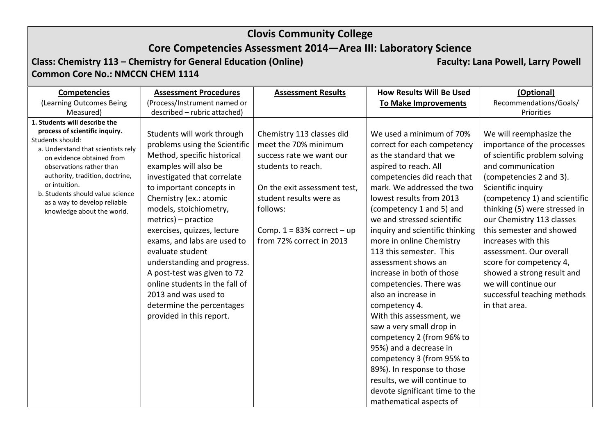## **Core Competencies Assessment 2014—Area III: Laboratory Science**

### **Class: Chemistry 113 – Chemistry for General Education (Online) Faculty: Lana Powell, Larry Powell Common Core No.: NMCCN CHEM 1114**

| <b>Assessment Procedures</b>                                                                                                                                                                                                                                                                                                                                                                                                                                                                                                 | <b>Assessment Results</b>                                                                                                                                                                                                               | <b>How Results Will Be Used</b>                                                                                                                                                                                                                                                                                                                                                                                                                                                                                                                                                                                                                                                                                             | (Optional)                                                                                                                                                                                                                                                                                                                                                                                                                                                                  |
|------------------------------------------------------------------------------------------------------------------------------------------------------------------------------------------------------------------------------------------------------------------------------------------------------------------------------------------------------------------------------------------------------------------------------------------------------------------------------------------------------------------------------|-----------------------------------------------------------------------------------------------------------------------------------------------------------------------------------------------------------------------------------------|-----------------------------------------------------------------------------------------------------------------------------------------------------------------------------------------------------------------------------------------------------------------------------------------------------------------------------------------------------------------------------------------------------------------------------------------------------------------------------------------------------------------------------------------------------------------------------------------------------------------------------------------------------------------------------------------------------------------------------|-----------------------------------------------------------------------------------------------------------------------------------------------------------------------------------------------------------------------------------------------------------------------------------------------------------------------------------------------------------------------------------------------------------------------------------------------------------------------------|
| (Process/Instrument named or                                                                                                                                                                                                                                                                                                                                                                                                                                                                                                 |                                                                                                                                                                                                                                         | To Make Improvements                                                                                                                                                                                                                                                                                                                                                                                                                                                                                                                                                                                                                                                                                                        | Recommendations/Goals/                                                                                                                                                                                                                                                                                                                                                                                                                                                      |
| described - rubric attached)                                                                                                                                                                                                                                                                                                                                                                                                                                                                                                 |                                                                                                                                                                                                                                         |                                                                                                                                                                                                                                                                                                                                                                                                                                                                                                                                                                                                                                                                                                                             | Priorities                                                                                                                                                                                                                                                                                                                                                                                                                                                                  |
| Students will work through<br>problems using the Scientific<br>Method, specific historical<br>examples will also be<br>investigated that correlate<br>to important concepts in<br>Chemistry (ex.: atomic<br>models, stoichiometry,<br>metrics) – practice<br>exercises, quizzes, lecture<br>exams, and labs are used to<br>evaluate student<br>understanding and progress.<br>A post-test was given to 72<br>online students in the fall of<br>2013 and was used to<br>determine the percentages<br>provided in this report. | Chemistry 113 classes did<br>meet the 70% minimum<br>success rate we want our<br>students to reach.<br>On the exit assessment test,<br>student results were as<br>follows:<br>Comp. $1 = 83\%$ correct - up<br>from 72% correct in 2013 | We used a minimum of 70%<br>correct for each competency<br>as the standard that we<br>aspired to reach. All<br>competencies did reach that<br>mark. We addressed the two<br>lowest results from 2013<br>(competency 1 and 5) and<br>we and stressed scientific<br>inquiry and scientific thinking<br>more in online Chemistry<br>113 this semester. This<br>assessment shows an<br>increase in both of those<br>competencies. There was<br>also an increase in<br>competency 4.<br>With this assessment, we<br>saw a very small drop in<br>competency 2 (from 96% to<br>95%) and a decrease in<br>competency 3 (from 95% to<br>89%). In response to those<br>results, we will continue to<br>devote significant time to the | We will reemphasize the<br>importance of the processes<br>of scientific problem solving<br>and communication<br>(competencies 2 and 3).<br>Scientific inquiry<br>(competency 1) and scientific<br>thinking (5) were stressed in<br>our Chemistry 113 classes<br>this semester and showed<br>increases with this<br>assessment. Our overall<br>score for competency 4,<br>showed a strong result and<br>we will continue our<br>successful teaching methods<br>in that area. |
|                                                                                                                                                                                                                                                                                                                                                                                                                                                                                                                              |                                                                                                                                                                                                                                         |                                                                                                                                                                                                                                                                                                                                                                                                                                                                                                                                                                                                                                                                                                                             |                                                                                                                                                                                                                                                                                                                                                                                                                                                                             |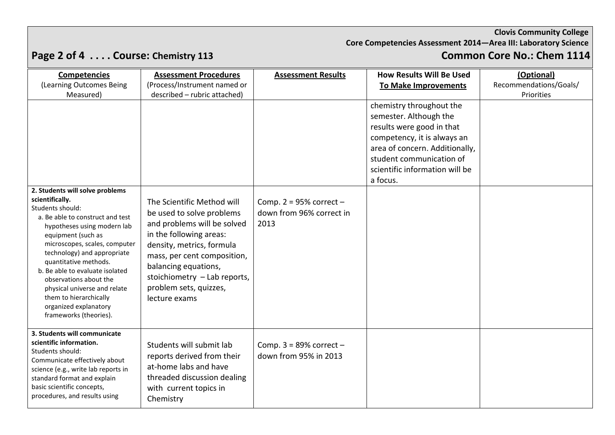**Core Competencies Assessment 2014—Area III: Laboratory Science**

# **Page 2 of 4 .... Course: Chemistry 113**

| <b>Competencies</b><br>(Learning Outcomes Being                                                                                                                                                                                                                                                                                                                              | <b>Assessment Procedures</b><br>(Process/Instrument named or                                                                                                                                                                                                                     | <b>Assessment Results</b>                                     | <b>How Results Will Be Used</b>                                                                                                                                                                                            | (Optional)<br>Recommendations/Goals/ |
|------------------------------------------------------------------------------------------------------------------------------------------------------------------------------------------------------------------------------------------------------------------------------------------------------------------------------------------------------------------------------|----------------------------------------------------------------------------------------------------------------------------------------------------------------------------------------------------------------------------------------------------------------------------------|---------------------------------------------------------------|----------------------------------------------------------------------------------------------------------------------------------------------------------------------------------------------------------------------------|--------------------------------------|
| Measured)                                                                                                                                                                                                                                                                                                                                                                    | described - rubric attached)                                                                                                                                                                                                                                                     |                                                               | <b>To Make Improvements</b>                                                                                                                                                                                                | Priorities                           |
| 2. Students will solve problems<br>scientifically.                                                                                                                                                                                                                                                                                                                           |                                                                                                                                                                                                                                                                                  |                                                               | chemistry throughout the<br>semester. Although the<br>results were good in that<br>competency, it is always an<br>area of concern. Additionally,<br>student communication of<br>scientific information will be<br>a focus. |                                      |
| Students should:<br>a. Be able to construct and test<br>hypotheses using modern lab<br>equipment (such as<br>microscopes, scales, computer<br>technology) and appropriate<br>quantitative methods.<br>b. Be able to evaluate isolated<br>observations about the<br>physical universe and relate<br>them to hierarchically<br>organized explanatory<br>frameworks (theories). | The Scientific Method will<br>be used to solve problems<br>and problems will be solved<br>in the following areas:<br>density, metrics, formula<br>mass, per cent composition,<br>balancing equations,<br>stoichiometry - Lab reports,<br>problem sets, quizzes,<br>lecture exams | Comp. $2 = 95%$ correct -<br>down from 96% correct in<br>2013 |                                                                                                                                                                                                                            |                                      |
| 3. Students will communicate<br>scientific information.<br>Students should:<br>Communicate effectively about<br>science (e.g., write lab reports in<br>standard format and explain<br>basic scientific concepts,<br>procedures, and results using                                                                                                                            | Students will submit lab<br>reports derived from their<br>at-home labs and have<br>threaded discussion dealing<br>with current topics in<br>Chemistry                                                                                                                            | Comp. $3 = 89\%$ correct $-$<br>down from 95% in 2013         |                                                                                                                                                                                                                            |                                      |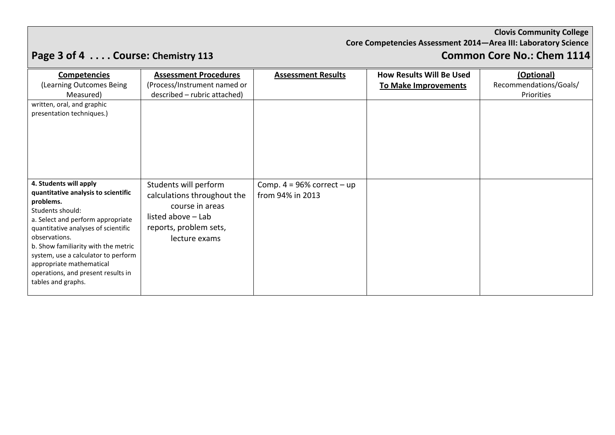**Core Competencies Assessment 2014—Area III: Laboratory Science**

# **Page 3 of 4 .... Course: Chemistry 113**

| <b>Competencies</b>                                                                                                                                                                                                                                                                                                                                               | <b>Assessment Procedures</b>                                                                                                             | <b>Assessment Results</b>                           | <b>How Results Will Be Used</b> | (Optional)             |
|-------------------------------------------------------------------------------------------------------------------------------------------------------------------------------------------------------------------------------------------------------------------------------------------------------------------------------------------------------------------|------------------------------------------------------------------------------------------------------------------------------------------|-----------------------------------------------------|---------------------------------|------------------------|
| (Learning Outcomes Being                                                                                                                                                                                                                                                                                                                                          | (Process/Instrument named or                                                                                                             |                                                     | To Make Improvements            | Recommendations/Goals/ |
| Measured)                                                                                                                                                                                                                                                                                                                                                         | described - rubric attached)                                                                                                             |                                                     |                                 | Priorities             |
| written, oral, and graphic<br>presentation techniques.)                                                                                                                                                                                                                                                                                                           |                                                                                                                                          |                                                     |                                 |                        |
| 4. Students will apply<br>quantitative analysis to scientific<br>problems.<br>Students should:<br>a. Select and perform appropriate<br>quantitative analyses of scientific<br>observations.<br>b. Show familiarity with the metric<br>system, use a calculator to perform<br>appropriate mathematical<br>operations, and present results in<br>tables and graphs. | Students will perform<br>calculations throughout the<br>course in areas<br>listed above - Lab<br>reports, problem sets,<br>lecture exams | Comp. $4 = 96\%$ correct $-$ up<br>from 94% in 2013 |                                 |                        |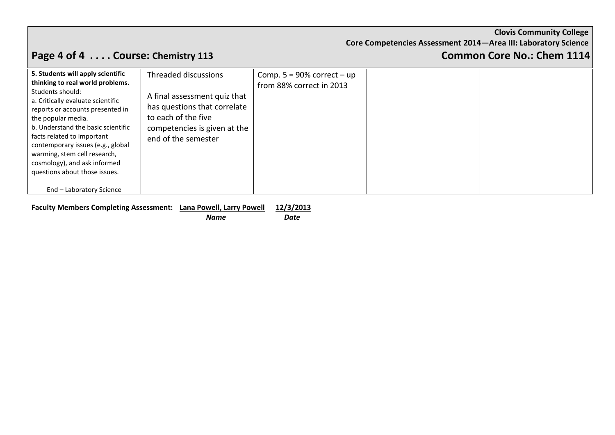**Core Competencies Assessment 2014—Area III: Laboratory Science**

# **Page 4 of 4** . . . . Course: Chemistry 113 **Common Core No.: Chem 1114**

| 5. Students will apply scientific<br>thinking to real world problems.<br>Students should:<br>a. Critically evaluate scientific<br>reports or accounts presented in<br>the popular media.<br>b. Understand the basic scientific<br>facts related to important<br>contemporary issues (e.g., global<br>warming, stem cell research,<br>cosmology), and ask informed<br>questions about those issues. | Threaded discussions<br>A final assessment quiz that<br>has questions that correlate<br>to each of the five<br>competencies is given at the<br>end of the semester | Comp. $5 = 90\%$ correct $-$ up<br>from 88% correct in 2013 |  |
|----------------------------------------------------------------------------------------------------------------------------------------------------------------------------------------------------------------------------------------------------------------------------------------------------------------------------------------------------------------------------------------------------|--------------------------------------------------------------------------------------------------------------------------------------------------------------------|-------------------------------------------------------------|--|
| End - Laboratory Science                                                                                                                                                                                                                                                                                                                                                                           |                                                                                                                                                                    |                                                             |  |

**Faculty Members Completing Assessment: Lana Powell, Larry Powell 12/3/2013**

*Name* Date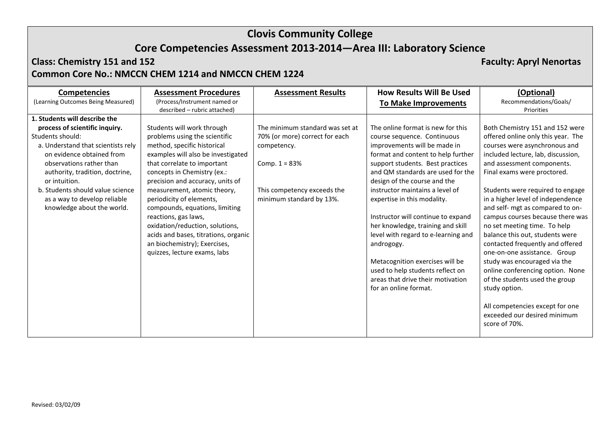## **Core Competencies Assessment 2013-2014—Area III: Laboratory Science**

### **Class: Chemistry 151 and 152 Faculty: Apryl Nenortas Common Core No.: NMCCN CHEM 1214 and NMCCN CHEM 1224**

| <b>Competencies</b>                | <b>Assessment Procedures</b>         | <b>Assessment Results</b>       | <b>How Results Will Be Used</b>     | (Optional)                         |
|------------------------------------|--------------------------------------|---------------------------------|-------------------------------------|------------------------------------|
| (Learning Outcomes Being Measured) | (Process/Instrument named or         |                                 | <b>To Make Improvements</b>         | Recommendations/Goals/             |
|                                    | described - rubric attached)         |                                 |                                     | Priorities                         |
| 1. Students will describe the      |                                      |                                 |                                     |                                    |
| process of scientific inquiry.     | Students will work through           | The minimum standard was set at | The online format is new for this   | Both Chemistry 151 and 152 were    |
| Students should:                   | problems using the scientific        | 70% (or more) correct for each  | course sequence. Continuous         | offered online only this year. The |
| a. Understand that scientists rely | method, specific historical          | competency.                     | improvements will be made in        | courses were asynchronous and      |
| on evidence obtained from          | examples will also be investigated   |                                 | format and content to help further  | included lecture, lab, discussion, |
| observations rather than           | that correlate to important          | Comp. $1 = 83%$                 | support students. Best practices    | and assessment components.         |
| authority, tradition, doctrine,    | concepts in Chemistry (ex.:          |                                 | and QM standards are used for the   | Final exams were proctored.        |
| or intuition.                      | precision and accuracy, units of     |                                 | design of the course and the        |                                    |
| b. Students should value science   | measurement, atomic theory,          | This competency exceeds the     | instructor maintains a level of     | Students were required to engage   |
| as a way to develop reliable       | periodicity of elements,             | minimum standard by 13%.        | expertise in this modality.         | in a higher level of independence  |
| knowledge about the world.         | compounds, equations, limiting       |                                 |                                     | and self- mgt as compared to on-   |
|                                    | reactions, gas laws,                 |                                 | Instructor will continue to expand  | campus courses because there was   |
|                                    | oxidation/reduction, solutions,      |                                 | her knowledge, training and skill   | no set meeting time. To help       |
|                                    | acids and bases, titrations, organic |                                 | level with regard to e-learning and | balance this out, students were    |
|                                    | an biochemistry); Exercises,         |                                 | androgogy.                          | contacted frequently and offered   |
|                                    | quizzes, lecture exams, labs         |                                 |                                     | one-on-one assistance. Group       |
|                                    |                                      |                                 | Metacognition exercises will be     | study was encouraged via the       |
|                                    |                                      |                                 | used to help students reflect on    | online conferencing option. None   |
|                                    |                                      |                                 | areas that drive their motivation   | of the students used the group     |
|                                    |                                      |                                 | for an online format.               | study option.                      |
|                                    |                                      |                                 |                                     |                                    |
|                                    |                                      |                                 |                                     | All competencies except for one    |
|                                    |                                      |                                 |                                     | exceeded our desired minimum       |
|                                    |                                      |                                 |                                     | score of 70%.                      |
|                                    |                                      |                                 |                                     |                                    |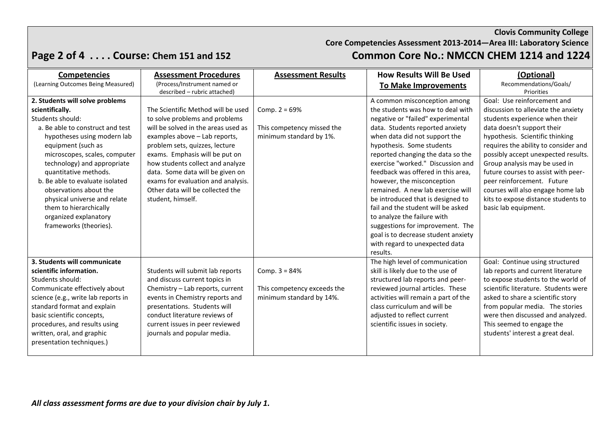**Core Competencies Assessment 2013-2014—Area III: Laboratory Science**

## **Page 2 of 4 . . . . Course: Chem 151 and 152 Common Core No.: NMCCN CHEM 1214 and 1224**

| <b>Competencies</b>                 | <b>Assessment Procedures</b>        | <b>Assessment Results</b>   | <b>How Results Will Be Used</b>      | (Optional)                           |
|-------------------------------------|-------------------------------------|-----------------------------|--------------------------------------|--------------------------------------|
| (Learning Outcomes Being Measured)  | (Process/Instrument named or        |                             | <b>To Make Improvements</b>          | Recommendations/Goals/               |
|                                     | described - rubric attached)        |                             |                                      | Priorities                           |
| 2. Students will solve problems     |                                     |                             | A common misconception among         | Goal: Use reinforcement and          |
| scientifically.                     | The Scientific Method will be used  | Comp. $2 = 69%$             | the students was how to deal with    | discussion to alleviate the anxiety  |
| Students should:                    | to solve problems and problems      |                             | negative or "failed" experimental    | students experience when their       |
| a. Be able to construct and test    | will be solved in the areas used as | This competency missed the  | data. Students reported anxiety      | data doesn't support their           |
| hypotheses using modern lab         | examples above - Lab reports,       | minimum standard by 1%.     | when data did not support the        | hypothesis. Scientific thinking      |
| equipment (such as                  | problem sets, quizzes, lecture      |                             | hypothesis. Some students            | requires the ability to consider and |
| microscopes, scales, computer       | exams. Emphasis will be put on      |                             | reported changing the data so the    | possibly accept unexpected results.  |
| technology) and appropriate         | how students collect and analyze    |                             | exercise "worked." Discussion and    | Group analysis may be used in        |
| quantitative methods.               | data. Some data will be given on    |                             | feedback was offered in this area.   | future courses to assist with peer-  |
| b. Be able to evaluate isolated     | exams for evaluation and analysis.  |                             | however, the misconception           | peer reinforcement. Future           |
| observations about the              | Other data will be collected the    |                             | remained. A new lab exercise will    | courses will also engage home lab    |
| physical universe and relate        | student, himself.                   |                             | be introduced that is designed to    | kits to expose distance students to  |
| them to hierarchically              |                                     |                             | fail and the student will be asked   | basic lab equipment.                 |
| organized explanatory               |                                     |                             | to analyze the failure with          |                                      |
| frameworks (theories).              |                                     |                             | suggestions for improvement. The     |                                      |
|                                     |                                     |                             | goal is to decrease student anxiety  |                                      |
|                                     |                                     |                             | with regard to unexpected data       |                                      |
|                                     |                                     |                             | results.                             |                                      |
| 3. Students will communicate        |                                     |                             | The high level of communication      | Goal: Continue using structured      |
| scientific information.             | Students will submit lab reports    | Comp. $3 = 84%$             | skill is likely due to the use of    | lab reports and current literature   |
| Students should:                    | and discuss current topics in       |                             | structured lab reports and peer-     | to expose students to the world of   |
| Communicate effectively about       | Chemistry - Lab reports, current    | This competency exceeds the | reviewed journal articles. These     | scientific literature. Students were |
| science (e.g., write lab reports in | events in Chemistry reports and     | minimum standard by 14%.    | activities will remain a part of the | asked to share a scientific story    |
| standard format and explain         | presentations. Students will        |                             | class curriculum and will be         | from popular media. The stories      |
| basic scientific concepts,          | conduct literature reviews of       |                             | adjusted to reflect current          | were then discussed and analyzed.    |
| procedures, and results using       | current issues in peer reviewed     |                             | scientific issues in society.        | This seemed to engage the            |
| written, oral, and graphic          | journals and popular media.         |                             |                                      | students' interest a great deal.     |
| presentation techniques.)           |                                     |                             |                                      |                                      |
|                                     |                                     |                             |                                      |                                      |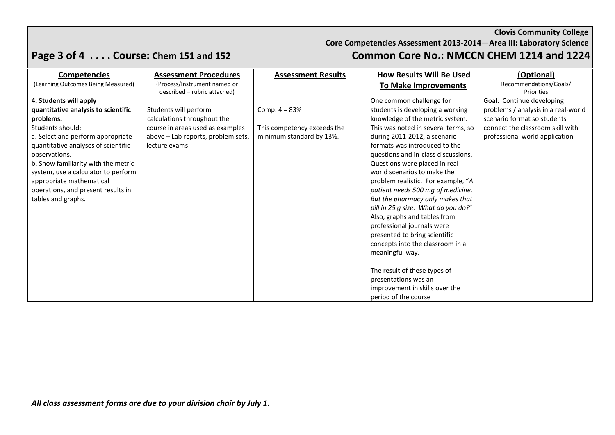**Core Competencies Assessment 2013-2014—Area III: Laboratory Science**

## **Page 3 of 4 . . . . Course: Chem 151 and 152 Common Core No.: NMCCN CHEM 1214 and 1224**

| <b>Competencies</b>                 | <b>Assessment Procedures</b>       | <b>Assessment Results</b>   | <b>How Results Will Be Used</b>     | (Optional)                          |
|-------------------------------------|------------------------------------|-----------------------------|-------------------------------------|-------------------------------------|
| (Learning Outcomes Being Measured)  | (Process/Instrument named or       |                             | <b>To Make Improvements</b>         | Recommendations/Goals/              |
|                                     | described - rubric attached)       |                             |                                     | Priorities                          |
| 4. Students will apply              |                                    |                             | One common challenge for            | Goal: Continue developing           |
| quantitative analysis to scientific | Students will perform              | Comp. $4 = 83%$             | students is developing a working    | problems / analysis in a real-world |
| problems.                           | calculations throughout the        |                             | knowledge of the metric system.     | scenario format so students         |
| Students should:                    | course in areas used as examples   | This competency exceeds the | This was noted in several terms, so | connect the classroom skill with    |
| a. Select and perform appropriate   | above - Lab reports, problem sets, | minimum standard by 13%.    | during 2011-2012, a scenario        | professional world application      |
| quantitative analyses of scientific | lecture exams                      |                             | formats was introduced to the       |                                     |
| observations.                       |                                    |                             | questions and in-class discussions. |                                     |
| b. Show familiarity with the metric |                                    |                             | Questions were placed in real-      |                                     |
| system, use a calculator to perform |                                    |                             | world scenarios to make the         |                                     |
| appropriate mathematical            |                                    |                             | problem realistic. For example, "A  |                                     |
| operations, and present results in  |                                    |                             | patient needs 500 mg of medicine.   |                                     |
| tables and graphs.                  |                                    |                             | But the pharmacy only makes that    |                                     |
|                                     |                                    |                             | pill in 25 g size. What do you do?" |                                     |
|                                     |                                    |                             | Also, graphs and tables from        |                                     |
|                                     |                                    |                             | professional journals were          |                                     |
|                                     |                                    |                             | presented to bring scientific       |                                     |
|                                     |                                    |                             | concepts into the classroom in a    |                                     |
|                                     |                                    |                             | meaningful way.                     |                                     |
|                                     |                                    |                             |                                     |                                     |
|                                     |                                    |                             | The result of these types of        |                                     |
|                                     |                                    |                             | presentations was an                |                                     |
|                                     |                                    |                             | improvement in skills over the      |                                     |
|                                     |                                    |                             | period of the course                |                                     |